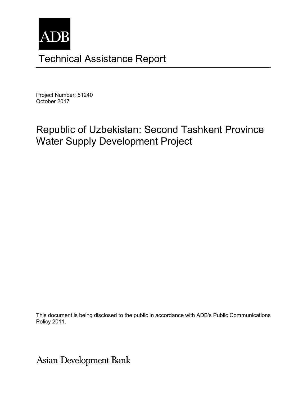

# Technical Assistance Report

Project Number: 51240 October 2017

# Republic of Uzbekistan: Second Tashkent Province Water Supply Development Project

This document is being disclosed to the public in accordance with ADB's Public Communications Policy 2011.

**Asian Development Bank**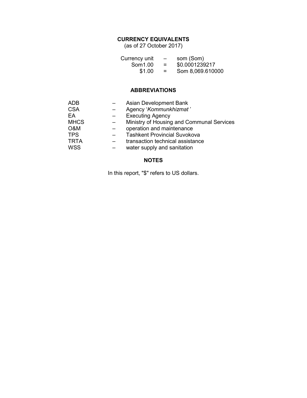### **CURRENCY EQUIVALENTS**

(as of 27 October 2017)

| Currency unit | $\overline{\phantom{0}}$ | som (Som)        |
|---------------|--------------------------|------------------|
| Som1.00       | =                        | \$0.0001239217   |
| \$1.00        | $=$                      | Som 8,069.610000 |

#### **ABBREVIATIONS**

| <b>ADB</b>  | Asian Development Bank                    |
|-------------|-------------------------------------------|
| <b>CSA</b>  | Agency 'Kommunkhizmat'                    |
| EA          | <b>Executing Agency</b>                   |
| <b>MHCS</b> | Ministry of Housing and Communal Services |
| O&M         | operation and maintenance                 |
| <b>TPS</b>  | <b>Tashkent Provincial Suvokova</b>       |
| <b>TRTA</b> | transaction technical assistance          |
| <b>WSS</b>  | water supply and sanitation               |

#### **NOTES**

In this report, "\$" refers to US dollars.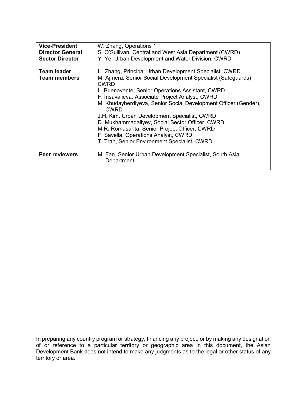| <b>Vice-President</b><br><b>Director General</b><br><b>Sector Director</b> | W. Zhang, Operations 1<br>S. O'Sullivan, Central and West Asia Department (CWRD)<br>Y. Ye, Urban Development and Water Division, CWRD                                                                                                                                                                                                                                                                                                                                                                                                                              |
|----------------------------------------------------------------------------|--------------------------------------------------------------------------------------------------------------------------------------------------------------------------------------------------------------------------------------------------------------------------------------------------------------------------------------------------------------------------------------------------------------------------------------------------------------------------------------------------------------------------------------------------------------------|
| <b>Team leader</b><br><b>Team members</b>                                  | H. Zhang, Principal Urban Development Specialist, CWRD<br>M. Ajmera, Senior Social Development Specialist (Safeguards)<br>CWRD<br>L. Buenavente, Senior Operations Assistant, CWRD<br>F. Insavalieva, Associate Project Analyst, CWRD<br>M. Khudayberdiyeva, Senior Social Development Officer (Gender),<br><b>CWRD</b><br>J.H. Kim, Urban Development Specialist, CWRD<br>D. Mukhammadaliyev, Social Sector Officer, CWRD<br>M.R. Romasanta, Senior Project Officer, CWRD<br>F. Savella, Operations Analyst, CWRD<br>T. Tran, Senior Environment Specialist, CWRD |
| Peer reviewers                                                             | M. Fan, Senior Urban Development Specialist, South Asia<br>Department                                                                                                                                                                                                                                                                                                                                                                                                                                                                                              |

The views expressed herein are those of the consultant and do not necessarily represent those of ADB's In preparing any country program or strategy, financing any project, or by making any designation of or reference to a particular territory or geographic area in this document, the Asian Development Bank does not intend to make any judgments as to the legal or other status of any territory or area.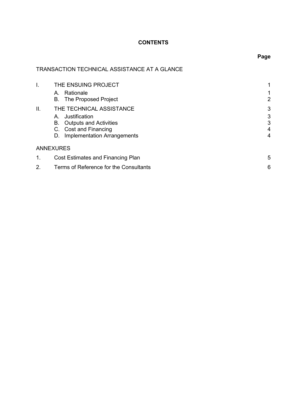## **CONTENTS**

# TRANSACTION TECHNICAL ASSISTANCE AT A GLANCE

| I.  | THE ENSUING PROJECT                      |                       |  |
|-----|------------------------------------------|-----------------------|--|
|     | Rationale<br>Α.                          |                       |  |
|     | B. The Proposed Project                  | $\mathbf{2}^{\prime}$ |  |
| ΙΙ. | THE TECHNICAL ASSISTANCE                 | 3                     |  |
|     | Justification<br>Α.                      | 3                     |  |
|     | <b>Outputs and Activities</b><br>В.      | 3                     |  |
|     | C. Cost and Financing                    | 4                     |  |
|     | <b>Implementation Arrangements</b><br>D. | 4                     |  |
|     | <b>ANNEXURES</b>                         |                       |  |
| 1.  | Cost Estimates and Financing Plan<br>5   |                       |  |
| 2.  | Terms of Reference for the Consultants   |                       |  |

# **Page**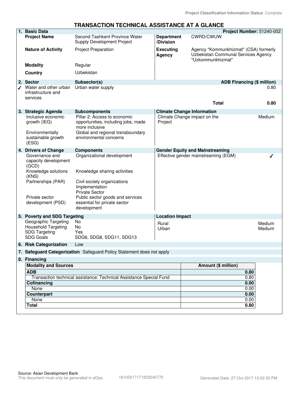#### **TRANSACTION TECHNICAL ASSISTANCE AT A GLANCE**

|   | 1. Basic Data                                                                                                                                |                                                                                                                                                                                                                         |                                   |                                                                                                   | Project Number: 51240-002         |
|---|----------------------------------------------------------------------------------------------------------------------------------------------|-------------------------------------------------------------------------------------------------------------------------------------------------------------------------------------------------------------------------|-----------------------------------|---------------------------------------------------------------------------------------------------|-----------------------------------|
|   | <b>Project Name</b>                                                                                                                          | Second Tashkent Province Water<br>Supply Development Project                                                                                                                                                            | <b>Department</b><br>/Division    | CWRD/CWUW                                                                                         |                                   |
|   | <b>Nature of Activity</b>                                                                                                                    | <b>Project Preparation</b>                                                                                                                                                                                              | <b>Executing</b><br><b>Agency</b> | Agency "Kommunkhizmat" (CSA) formerly<br>Uzbekistan Communal Services Agency<br>"Uzkommunkhizmat" |                                   |
|   | <b>Modality</b>                                                                                                                              | Regular                                                                                                                                                                                                                 |                                   |                                                                                                   |                                   |
|   | Country                                                                                                                                      | Uzbekistan                                                                                                                                                                                                              |                                   |                                                                                                   |                                   |
|   | 2. Sector                                                                                                                                    | Subsector(s)                                                                                                                                                                                                            |                                   |                                                                                                   | <b>ADB Financing (\$ million)</b> |
| ◢ | Water and other urban<br>infrastructure and<br>services                                                                                      | Urban water supply                                                                                                                                                                                                      |                                   | <b>Total</b>                                                                                      | 0.80<br>0.80                      |
|   | 3. Strategic Agenda                                                                                                                          | <b>Subcomponents</b>                                                                                                                                                                                                    |                                   | <b>Climate Change Information</b>                                                                 |                                   |
|   | Inclusive economic<br>growth (IEG)<br>Environmentally<br>sustainable growth<br>(ESG)                                                         | Pillar 2: Access to economic<br>opportunities, including jobs, made<br>more inclusive<br>Global and regional transboundary<br>environmental concerns                                                                    | Project                           | Climate Change impact on the                                                                      | Medium                            |
|   | 4. Drivers of Change                                                                                                                         | <b>Components</b>                                                                                                                                                                                                       |                                   | <b>Gender Equity and Mainstreaming</b>                                                            |                                   |
|   | Governance and<br>capacity development<br>(GCD)<br>Knowledge solutions<br>(KNS)<br>Partnerships (PAR)<br>Private sector<br>development (PSD) | Organizational development<br>Knowledge sharing activities<br>Civil society organizations<br>Implementation<br><b>Private Sector</b><br>Public sector goods and services<br>essential for private sector<br>development |                                   | Effective gender mainstreaming (EGM)                                                              |                                   |
|   | 5. Poverty and SDG Targeting                                                                                                                 |                                                                                                                                                                                                                         | <b>Location Impact</b>            |                                                                                                   |                                   |
|   | Geographic Targeting<br><b>Household Targeting</b><br><b>SDG Targeting</b><br><b>SDG Goals</b>                                               | No<br>No<br>Yes<br>SDG6, SDG8, SDG11, SDG13                                                                                                                                                                             | Rural<br>Urban                    |                                                                                                   | Medium<br>Medium                  |
|   | 6. Risk Categorization                                                                                                                       | Low                                                                                                                                                                                                                     |                                   |                                                                                                   |                                   |
|   |                                                                                                                                              | 7. Safeguard Categorization Safeguard Policy Statement does not apply                                                                                                                                                   |                                   |                                                                                                   |                                   |
|   | 8. Financing                                                                                                                                 |                                                                                                                                                                                                                         |                                   |                                                                                                   |                                   |
|   | <b>Modality and Sources</b>                                                                                                                  |                                                                                                                                                                                                                         |                                   | Amount (\$ million)                                                                               |                                   |
|   | <b>ADB</b>                                                                                                                                   |                                                                                                                                                                                                                         |                                   |                                                                                                   | 0.80                              |
|   |                                                                                                                                              | Transaction technical assistance: Technical Assistance Special Fund                                                                                                                                                     |                                   |                                                                                                   | 0.80                              |
|   | Cofinancing<br>None                                                                                                                          |                                                                                                                                                                                                                         |                                   |                                                                                                   | 0.00<br>0.00                      |
|   | Counterpart                                                                                                                                  |                                                                                                                                                                                                                         |                                   |                                                                                                   | 0.00                              |
|   | None                                                                                                                                         |                                                                                                                                                                                                                         |                                   |                                                                                                   | 0.00                              |
|   | <b>Total</b>                                                                                                                                 |                                                                                                                                                                                                                         |                                   |                                                                                                   | 0.80                              |
|   |                                                                                                                                              |                                                                                                                                                                                                                         |                                   |                                                                                                   |                                   |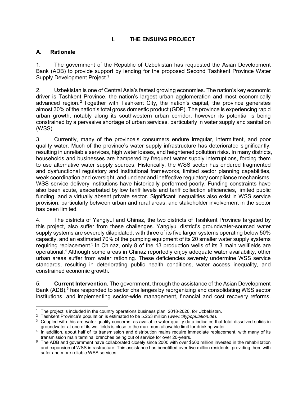#### **I. THE ENSUING PROJECT**

#### **A. Rationale**

1. The government of the Republic of Uzbekistan has requested the Asian Development Bank (ADB) to provide support by lending for the proposed Second Tashkent Province Water Supply Development Project.<sup>1</sup>

2. Uzbekistan is one of Central Asia's fastest growing economies. The nation's key economic driver is Tashkent Province, the nation's largest urban agglomeration and most economically advanced region.<sup>2</sup> Together with Tashkent City, the nation's capital, the province generates almost 30% of the nation's total gross domestic product (GDP). The province is experiencing rapid urban growth, notably along its southwestern urban corridor, however its potential is being constrained by a pervasive shortage of urban services, particularly in water supply and sanitation (WSS).

3. Currently, many of the province's consumers endure irregular, intermittent, and poor quality water. Much of the province's water supply infrastructure has deteriorated significantly, resulting in unreliable services, high water losses, and heightened pollution risks. In many districts, households and businesses are hampered by frequent water supply interruptions, forcing them to use alternative water supply sources. Historically, the WSS sector has endured fragmented and dysfunctional regulatory and institutional frameworks, limited sector planning capabilities, weak coordination and oversight, and unclear and ineffective regulatory compliance mechanisms. WSS service delivery institutions have historically performed poorly. Funding constraints have also been acute, exacerbated by low tariff levels and tariff collection efficiencies, limited public funding, and a virtually absent private sector. Significant inequalities also exist in WSS service provision, particularly between urban and rural areas, and stakeholder involvement in the sector has been limited.

4. The districts of Yangiyul and Chinaz, the two districts of Tashkent Province targeted by this project, also suffer from these challenges. Yangiyul district's groundwater-sourced water supply systems are severely dilapidated, with three of its five larger systems operating below 50% capacity, and an estimated 70% of the pumping equipment of its 20 smaller water supply systems requiring replacement.<sup>3</sup> In Chinaz, only 8 of the 13 production wells of its 3 main wellfields are operational.<sup>4</sup> Although some areas in Chinaz reportedly enjoy adequate water availability, other urban areas suffer from water rationing. These deficiencies severely undermine WSS service standards, resulting in deteriorating public health conditions, water access inequality, and constrained economic growth.

5. **Current Intervention.** The government, through the assistance of the Asian Development Bank (ADB),<sup>5</sup> has responded to sector challenges by reorganizing and consolidating WSS sector institutions, and implementing sector-wide management, financial and cost recovery reforms.

 1 The project is included in the country operations business plan, 2018-2020, for Uzbekistan.

<sup>2</sup> Tashkent Province's population is estimated to be 5.253 million (*www.citypopulation.de*).

 $3$  Coupled with this are water quality concerns, as available water quality data indicates that total dissolved solids in groundwater at one of its wellfields is close to the maximum allowable limit for drinking water.

<sup>4</sup> In addition, about half of its transmission and distribution mains require immediate replacement, with many of its transmission main terminal branches being out of service for over 20-years.

<sup>&</sup>lt;sup>5</sup> The ADB and government have collaborated closely since 2000 with over \$500 million invested in the rehabilitation and expansion of WSS infrastructure. This assistance has benefitted over five million residents, providing them with safer and more reliable WSS services.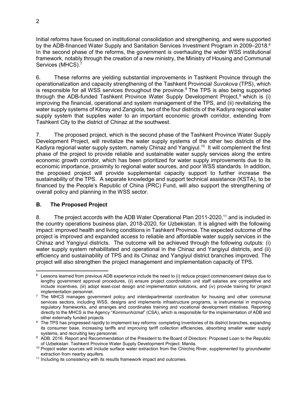Initial reforms have focused on institutional consolidation and strengthening, and were supported by the ADB-financed Water Supply and Sanitation Services Investment Program in 2009–2018.<sup>6</sup> In the second phase of the reforms, the government is overhauling the wider WSS institutional framework, notably through the creation of a new ministry, the Ministry of Housing and Communal Services (MHCS).<sup>7</sup>

6. These reforms are yielding substantial improvements in Tashkent Province through the operationalization and capacity strengthening of the Tashkent Provincial *Suvokova* (TPS), which is responsible for all WSS services throughout the province.<sup>8</sup> The TPS is also being supported through the ADB-funded Tashkent Province Water Supply Development Project,<sup>9</sup> which is (i) improving the financial, operational and system management of the TPS, and (ii) revitalizing the water supply systems of Kibray and Zangiota, two of the four districts of the Kadiyra regional water supply system that supplies water to an important economic growth corridor, extending from Tashkent City to the district of Chinaz at the southwest.

7. The proposed project, which is the second phase of the Tashkent Province Water Supply Development Project, will revitalize the water supply systems of the other two districts of the Kadiyra regional water supply system, namely Chinaz and Yangiyul.<sup>10</sup> It will complement the first phase of the project to provide reliable and sustainable water supply services along the entire economic growth corridor, which has been prioritized for water supply improvements due to its economic importance, proximity to regional water sources, and poor WSS standards. In addition, the proposed project will provide supplemental capacity support to further increase the sustainability of the TPS. A separate knowledge and support technical assistance (KSTA), to be financed by the People's Republic of China (PRC) Fund, will also support the strengthening of overall policy and planning in the WSS sector.

#### **B. The Proposed Project**

8. The project accords with the ADB Water Operational Plan 2011-2020,<sup>11</sup> and is included in the country operations business plan, 2018-2020, for Uzbekistan. It is aligned with the following impact: improved health and living conditions in Tashkent Province. The expected outcome of the project is improved and expanded access to reliable and affordable water supply services in the Chinaz and Yangiyul districts. The outcome will be achieved through the following outputs: (i) water supply system rehabilitated and operational in the Chinaz and Yangiyul districts, and (ii) efficiency and sustainability of TPS and its Chinaz and Yangiyul district branches improved. The project will also strengthen the project management and implementation capacity of TPS.

<sup>-</sup>6 Lessons learned from previous ADB experience include the need to (i) reduce project commencement delays due to lengthy government approval procedures, (ii) ensure project coordination unit staff salaries are competitive and include incentives, (iii) adopt least-cost design and implementation solutions, and (iv) provide training for project implementation personnel.

<sup>7</sup> The MHCS manages government policy and interdepartmental coordination for housing and other communal services sectors, including WSS, designs and implements infrastructure programs, is instrumental in improving regulatory frameworks, and arranges and coordinates training and vocational development initiatives. Reporting directly to the MHCS is the Agency "*Kommunhizmat*" (CSA), which is responsible for the implementation of ADB and other externally funded projects

 $8$  The TPS has progressed rapidly to implement key reforms: completing inventories of its district branches, expanding its consumer base, increasing tariffs and improving tariff collection efficiencies, absorbing smaller water supply systems, and recruiting key personnel.

<sup>9</sup> ADB. 2016. Report and Recommendation of the President to the Board of Directors: Proposed Loan to the Republic of Uzbekistan: Tashkent Province Water Supply Development Project. Manila.

<sup>&</sup>lt;sup>10</sup> Proiect water sources will include surface water extraction from the Chirchiq River, supplemented by groundwater extraction from nearby aquifers.

<sup>&</sup>lt;sup>11</sup> Including its consistency with its results framework impact and outcomes.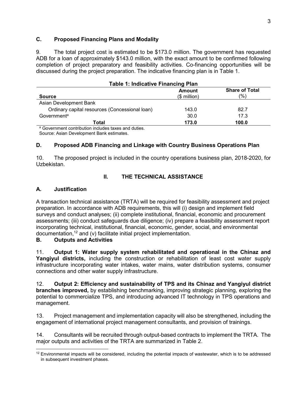#### **C. Proposed Financing Plans and Modality**

9. The total project cost is estimated to be \$173.0 million. The government has requested ADB for a loan of approximately \$143.0 million, with the exact amount to be confirmed following completion of project preparatory and feasibility activities. Co-financing opportunities will be discussed during the project preparation. The indicative financing plan is in Table 1.

| <b>Table 1: Indicative Financing Plan</b>                       |                        |                              |  |
|-----------------------------------------------------------------|------------------------|------------------------------|--|
| <b>Source</b>                                                   | Amount<br>$$$ million) | <b>Share of Total</b><br>(%) |  |
| Asian Development Bank                                          |                        |                              |  |
| Ordinary capital resources (Concessional loan)                  | 143.0                  | 82.7                         |  |
| Government <sup>a</sup>                                         | 30.0                   | 17.3                         |  |
| Total                                                           | 173.0                  | 100.0                        |  |
| <sup>a</sup> Government contribution includes taxes and duties. |                        |                              |  |

Source: Asian Development Bank estimates.

#### **D. Proposed ADB Financing and Linkage with Country Business Operations Plan**

10. The proposed project is included in the country operations business plan, 2018-2020, for Uzbekistan.

#### **II. THE TECHNICAL ASSISTANCE**

#### **A. Justification**

A transaction technical assistance (TRTA) will be required for feasibility assessment and project preparation. In accordance with ADB requirements, this will (i) design and implement field surveys and conduct analyses; (ii) complete institutional, financial, economic and procurement assessments; (iii) conduct safeguards due diligence; (iv) prepare a feasibility assessment report incorporating technical, institutional, financial, economic, gender, social, and environmental documentation, $12$  and (v) facilitate initial project implementation.

#### **B. Outputs and Activities**

11. **Output 1: Water supply system rehabilitated and operational in the Chinaz and Yangiyul districts,** including the construction or rehabilitation of least cost water supply infrastructure incorporating water intakes, water mains, water distribution systems, consumer connections and other water supply infrastructure.

12. **Output 2: Efficiency and sustainability of TPS and its Chinaz and Yangiyul district branches improved,** by establishing benchmarking, improving strategic planning, exploring the potential to commercialize TPS, and introducing advanced IT technology in TPS operations and management.

13. Project management and implementation capacity will also be strengthened, including the engagement of international project management consultants, and provision of trainings.

14. Consultants will be recruited through output-based contracts to implement the TRTA. The major outputs and activities of the TRTA are summarized in Table 2.

<sup>-</sup><sup>12</sup> Environmental impacts will be considered, including the potential impacts of wastewater, which is to be addressed in subsequent investment phases.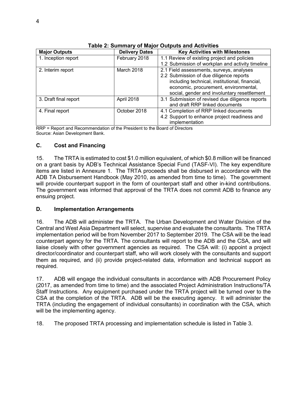| <b>Major Outputs</b>  | <b>Delivery Dates</b> | <b>Key Activities with Milestones</b>            |
|-----------------------|-----------------------|--------------------------------------------------|
| 1. Inception report   | February 2018         | 1.1 Review of existing project and policies      |
|                       |                       | 1.2 Submission of workplan and activity timeline |
| 2. Interim report     | March 2018            | 2.1 Field assessments, surveys, analyses         |
|                       |                       | 2.2 Submission of due diligence reports          |
|                       |                       | including technical, institutional, financial,   |
|                       |                       | economic, procurement, environmental,            |
|                       |                       | social, gender and involuntary resettlement      |
| 3. Draft final report | April 2018            | 3.1 Submission of revised due diligence reports  |
|                       |                       | and draft RRP linked documents                   |
| 4. Final report       | October 2018          | 4.1 Completion of RRP linked documents           |
|                       |                       | 4.2 Support to enhance project readiness and     |
|                       |                       | implementation                                   |

**Table 2: Summary of Major Outputs and Activities**

RRP = Report and Recommendation of the President to the Board of Directors Source: Asian Development Bank.

#### **C. Cost and Financing**

15. The TRTA is estimated to cost \$1.0 million equivalent, of which \$0.8 million will be financed on a grant basis by ADB's Technical Assistance Special Fund (TASF-VI). The key expenditure items are listed in Annexure 1. The TRTA proceeds shall be disbursed in accordance with the ADB TA Disbursement Handbook (May 2010, as amended from time to time). The government will provide counterpart support in the form of counterpart staff and other in-kind contributions. The government was informed that approval of the TRTA does not commit ADB to finance any ensuing project.

#### **D. Implementation Arrangements**

16. The ADB will administer the TRTA. The Urban Development and Water Division of the Central and West Asia Department will select, supervise and evaluate the consultants. The TRTA implementation period will be from November 2017 to September 2019. The CSA will be the lead counterpart agency for the TRTA. The consultants will report to the ADB and the CSA, and will liaise closely with other government agencies as required. The CSA will: (i) appoint a project director/coordinator and counterpart staff, who will work closely with the consultants and support them as required, and (ii) provide project-related data, information and technical support as required.

17. ADB will engage the individual consultants in accordance with ADB Procurement Policy (2017, as amended from time to time) and the associated Project Administration Instructions/TA Staff Instructions. Any equipment purchased under the TRTA project will be turned over to the CSA at the completion of the TRTA. ADB will be the executing agency. It will administer the TRTA (including the engagement of individual consultants) in coordination with the CSA, which will be the implementing agency.

18. The proposed TRTA processing and implementation schedule is listed in Table 3.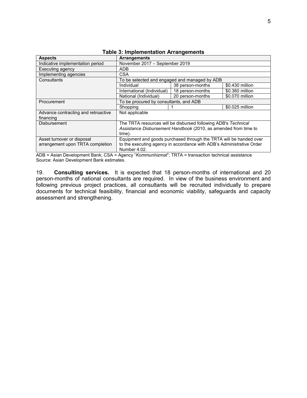| <b>Aspects</b>                      | <b>Arrangements</b>                                                   |                  |                 |  |
|-------------------------------------|-----------------------------------------------------------------------|------------------|-----------------|--|
| Indicative implementation period    | November 2017 - September 2019                                        |                  |                 |  |
| Executing agency                    | ADB                                                                   |                  |                 |  |
| Implementing agencies               | CSA                                                                   |                  |                 |  |
| Consultants                         | To be selected and engaged and managed by ADB                         |                  |                 |  |
|                                     | Individual                                                            | 38 person-months | \$0.430 million |  |
|                                     | International (Individual)                                            | 18 person-months | \$0.360 million |  |
|                                     | National (Individual)                                                 | 20 person-months | \$0.070 million |  |
| Procurement                         | To be procured by consultants, and ADB                                |                  |                 |  |
|                                     | Shopping                                                              |                  | \$0.025 million |  |
| Advance contracting and retroactive | Not applicable                                                        |                  |                 |  |
| financing                           |                                                                       |                  |                 |  |
| <b>Disbursement</b>                 | The TRTA resources will be disbursed following ADB's Technical        |                  |                 |  |
|                                     | Assistance Disbursement Handbook (2010, as amended from time to       |                  |                 |  |
|                                     | time).                                                                |                  |                 |  |
| Asset turnover or disposal          | Equipment and goods purchased through the TRTA will be handed over    |                  |                 |  |
| arrangement upon TRTA completion    | to the executing agency in accordance with ADB's Administrative Order |                  |                 |  |
|                                     | Number 4.02.                                                          |                  |                 |  |

#### **Table 3: Implementation Arrangements**

ADB = Asian Development Bank; CSA = Agency "*Kommunhizmat*"; TRTA = transaction technical assistance Source: Asian Development Bank estimates.

19. **Consulting services.** It is expected that 18 person-months of international and 20 person-months of national consultants are required. In view of the business environment and following previous project practices, all consultants will be recruited individually to prepare documents for technical feasibility, financial and economic viability, safeguards and capacity assessment and strengthening.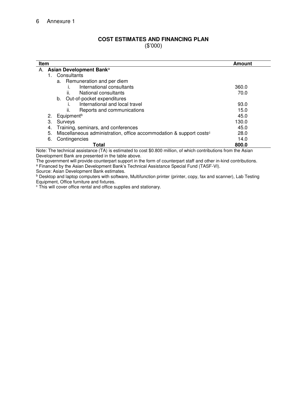#### **COST ESTIMATES AND FINANCING PLAN**  (\$'000)

**Item 2006 In the USA of the USA of the USA of the USA of the USA of the USA of the USA of the USA of the USA of the USA of the USA of the USA of the USA of the USA of the USA of the USA of the USA of the USA of the USA** A. **Asian Development Bank**<sup>a</sup> 1. Consultants a. Remuneration and per diem i. International consultants 360.0 ii. National consultants **70.0** and 70.0 b. Out-of-pocket expenditures<br>i. International and loca International and local travel **93.0** and  $\overline{a}$  93.0 ii. Reports and communications  $\mu$  is a set of the set of the set of the set of the set of the set of the set of the set of the set of the set of the set of the set of the set of the set of the set of the set of the set 2. Equipment<sup>b</sup> 3. Surveys 130.0 4. Training, seminars, and conferences 45.0 5. Miscellaneous administration, office accommodation  $\&$  support costs<sup>c</sup> 28.0 6. Contingencies 14.0 **Total 800.0**

Note: The technical assistance (TA) is estimated to cost \$0.800 million, of which contributions from the Asian Development Bank are presented in the table above.

The government will provide counterpart support in the form of counterpart staff and other in-kind contributions. a Financed by the Asian Development Bank's Technical Assistance Special Fund (TASF-VI).

Source: Asian Development Bank estimates.

**b Desktop and laptop computers with software, Multifunction printer (printer, copy, fax and scanner), Lab Testing** Equipment, Office furniture and fixtures.

c This will cover office rental and office supplies and stationary.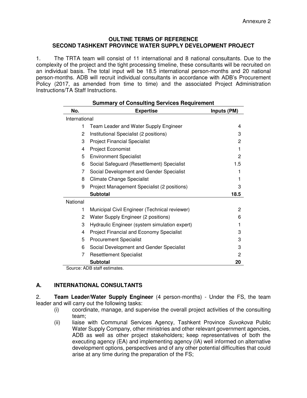#### **OULTINE TERMS OF REFERENCE SECOND TASHKENT PROVINCE WATER SUPPLY DEVELOPMENT PROJECT**

1. The TRTA team will consist of 11 international and 8 national consultants. Due to the complexity of the project and the tight processing timeline, these consultants will be recruited on an individual basis. The total input will be 18.5 international person-months and 20 national person-months. ADB will recruit individual consultants in accordance with ADB's Procurement Policy (2017, as amended from time to time) and the associated Project Administration Instructions/TA Staff Instructions.

| <b>Summary of Consulting Services Requirement</b> |                                               |             |  |  |
|---------------------------------------------------|-----------------------------------------------|-------------|--|--|
| No.                                               | <b>Expertise</b>                              | Inputs (PM) |  |  |
| International                                     |                                               |             |  |  |
| 1                                                 | Team Leader and Water Supply Engineer         | 4           |  |  |
| 2                                                 | Institutional Specialist (2 positions)        | 3           |  |  |
| 3                                                 | <b>Project Financial Specialist</b>           | 2           |  |  |
| 4                                                 | Project Economist                             | 1           |  |  |
| 5                                                 | <b>Environment Specialist</b>                 | 2           |  |  |
| 6                                                 | Social Safeguard (Resettlement) Specialist    | 1.5         |  |  |
| 7                                                 | Social Development and Gender Specialist      | 1           |  |  |
| 8                                                 | <b>Climate Change Specialist</b>              |             |  |  |
| 9                                                 | Project Management Specialist (2 positions)   | 3           |  |  |
|                                                   | <b>Subtotal</b>                               | 18.5        |  |  |
| National                                          |                                               |             |  |  |
| 1                                                 | Municipal Civil Engineer (Technical reviewer) | 2           |  |  |
| 2                                                 | Water Supply Engineer (2 positions)           | 6           |  |  |
| 3                                                 | Hydraulic Engineer (system simulation expert) | 1           |  |  |
| 4                                                 | Project Financial and Economy Specialist      | 3           |  |  |
| 5                                                 | <b>Procurement Specialist</b>                 | 3           |  |  |
| 6                                                 | Social Development and Gender Specialist      | 3           |  |  |
| 7                                                 | <b>Resettlement Specialist</b>                | 2           |  |  |
|                                                   | <b>Subtotal</b>                               | 20          |  |  |

Source: ADB staff estimates.

#### **A. INTERNATIONAL CONSULTANTS**

2. **Team Leader/Water Supply Engineer** (4 person-months) - Under the FS, the team leader and will carry out the following tasks:

- (i) coordinate, manage, and supervise the overall project activities of the consulting team;
- (ii) liaise with Communal Services Agency, Tashkent Province Suvokova Public Water Supply Company, other ministries and other relevant government agencies, ADB as well as other project stakeholders; keep representatives of both the executing agency (EA) and implementing agency (IA) well informed on alternative development options, perspectives and of any other potential difficulties that could arise at any time during the preparation of the FS;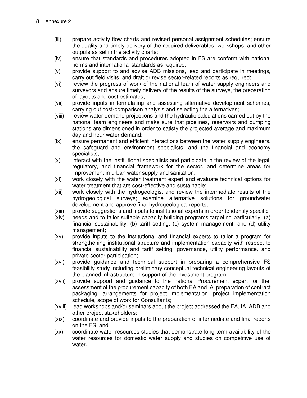- (iii) prepare activity flow charts and revised personal assignment schedules; ensure the quality and timely delivery of the required deliverables, workshops, and other outputs as set in the activity charts;
- (iv) ensure that standards and procedures adopted in FS are conform with national norms and international standards as required;
- (v) provide support to and advise ADB missions, lead and participate in meetings, carry out field visits, and draft or revise sector-related reports as required;
- (vi) review the progress of work of the national team of water supply engineers and surveyors and ensure timely delivery of the results of the surveys, the preparation of layouts and cost estimates;
- (vii) provide inputs in formulating and assessing alternative development schemes, carrying out cost-comparison analysis and selecting the alternatives;
- (viii) review water demand projections and the hydraulic calculations carried out by the national team engineers and make sure that pipelines, reservoirs and pumping stations are dimensioned in order to satisfy the projected average and maximum day and hour water demand;
- (ix) ensure permanent and efficient interactions between the water supply engineers, the safeguard and environment specialists, and the financial and economy specialists;
- (x) interact with the institutional specialists and participate in the review of the legal, regulatory, and financial framework for the sector, and determine areas for improvement in urban water supply and sanitation;
- (xi) work closely with the water treatment expert and evaluate technical options for water treatment that are cost-effective and sustainable;
- (xii) work closely with the hydrogeologist and review the intermediate results of the hydrogeological surveys; examine alternative solutions for groundwater development and approve final hydrogeological reports;
- (xiii) provide suggestions and inputs to institutional experts in order to identify specific
- (xiv) needs and to tailor suitable capacity building programs targeting particularly; (a) financial sustainability, (b) tariff setting, (c) system management, and (d) utility management;
- (xv) provide inputs to the institutional and financial experts to tailor a program for strengthening institutional structure and implementation capacity with respect to financial sustainability and tariff setting, governance, utility performance, and private sector participation;
- (xvi) provide guidance and technical support in preparing a comprehensive FS feasibility study including preliminary conceptual technical engineering layouts of the planned infrastructure in support of the investment program;
- (xvii) provide support and guidance to the national Procurement expert for the: assessment of the procurement capacity of both EA and IA, preparation of contract packaging, arrangements for project implementation, project implementation schedule, scope of work for Consultants;
- (xviii) lead workshops and/or seminars about the project addressed the EA, IA, ADB and other project stakeholders;
- (xix) coordinate and provide inputs to the preparation of intermediate and final reports on the FS; and
- (xx) coordinate water resources studies that demonstrate long term availability of the water resources for domestic water supply and studies on competitive use of water.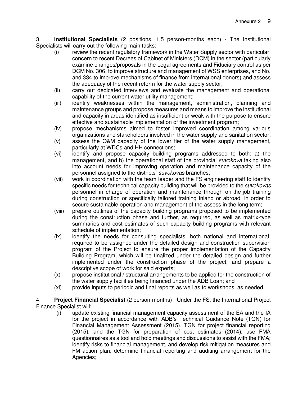3. **Institutional Specialists** (2 positions, 1.5 person-months each) - The Institutional Specialists will carry out the following main tasks:

- (i) review the recent regulatory framework in the Water Supply sector with particular concern to recent Decrees of Cabinet of Ministers (DCM) in the sector (particularly examine changes/proposals in the Legal agreements and Fiduciary control as per DCM No. 306, to improve structure and management of WSS enterprises, and No. and 334 to improve mechanisms of finance from international donors) and assess the adequacy of the recent reform for the water supply sector;
- (ii) carry out dedicated interviews and evaluate the management and operational capability of the current water utility management;
- (iii) identify weaknesses within the management, administration, planning and maintenance groups and propose measures and means to improve the institutional and capacity in areas identified as insufficient or weak with the purpose to ensure effective and sustainable implementation of the investment program;
- (iv) propose mechanisms aimed to foster improved coordination among various organizations and stakeholders involved in the water supply and sanitation sector;
- (v) assess the O&M capacity of the lower tier of the water supply management, particularly at WDCs and HH connections;
- (vi) identify and propose capacity building programs addressed to both: a) the management, and b) the operational staff of the provincial *suvokova* taking also into account needs for improving operation and maintenance capacity of the personnel assigned to the districts' suvokovas branches;
- (vii) work in coordination with the team leader and the FS engineering staff to identify specific needs for technical capacity building that will be provided to the *suvokovas* personnel in charge of operation and maintenance through on-the-job training during construction or specifically tailored training inland or abroad, in order to secure sustainable operation and management of the assess in the long term;
- (viii) prepare outlines of the capacity building programs proposed to be implemented during the construction phase and further, as required, as well as matrix-type summaries and cost estimates of such capacity building programs with relevant schedule of implementation;
- (ix) identify the needs for consulting specialists, both national and international, required to be assigned under the detailed design and construction supervision program of the Project to ensure the proper implementation of the Capacity Building Program, which will be finalized under the detailed design and further implemented under the construction phase of the project, and prepare a descriptive scope of work for said experts;
- (x) propose institutional / structural arrangements to be applied for the construction of the water supply facilities being financed under the ADB Loan; and
- (xi) provide inputs to periodic and final reports as well as to workshops, as needed.

4. **Project Financial Specialist** (2 person-months) - Under the FS, the International Project Finance Specialist will:

(i) update existing financial management capacity assessment of the EA and the IA for the project in accordance with ADB's Technical Guidance Note (TGN) for Financial Management Assessment (2015), TGN for project financial reporting (2015), and the TGN for preparation of cost estimates (2014); use FMA questionnaires as a tool and hold meetings and discussions to assist with the FMA; identify risks to financial management, and develop risk mitigation measures and FM action plan; determine financial reporting and auditing arrangement for the Agencies;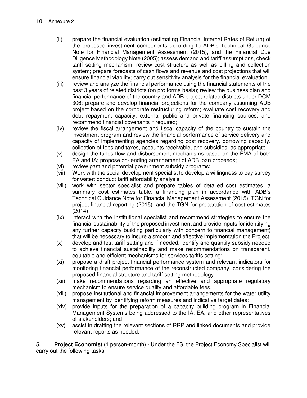- (ii) prepare the financial evaluation (estimating Financial Internal Rates of Return) of the proposed investment components according to ADB's Technical Guidance Note for Financial Management Assessment (2015), and the Financial Due Diligence Methodology Note (2005); assess demand and tariff assumptions, check tariff setting mechanism, review cost structure as well as billing and collection system; prepare forecasts of cash flows and revenue and cost projections that will ensure financial viability; carry out sensitivity analysis for the financial evaluation;
- (iii) review and analyze the financial performance using the financial statements of the past 3 years of related districts (on pro forma basis); review the business plan and financial performance of the country and ADB project related districts under DCM 306; prepare and develop financial projections for the company assuming ADB project based on the corporate restructuring reform; evaluate cost recovery and debt repayment capacity, external public and private financing sources, and recommend financial covenants if required;
- (iv) review the fiscal arrangement and fiscal capacity of the country to sustain the investment program and review the financial performance of service delivery and capacity of implementing agencies regarding cost recovery, borrowing capacity, collection of fees and taxes, accounts receivable, and subsidies, as appropriate.
- (v) design the funds flow and disbursement mechanisms based on the FMA of both EA and IA; propose on-lending arrangement of ADB loan proceeds;
- (vi) review past and potential government subsidy programs;
- (vii) Work with the social development specialist to develop a willingness to pay survey for water; conduct tariff affordability analysis;
- (viii) work with sector specialist and prepare tables of detailed cost estimates, a summary cost estimates table, a financing plan in accordance with ADB's Technical Guidance Note for Financial Management Assessment (2015), TGN for project financial reporting (2015), and the TGN for preparation of cost estimates  $(2014)$ ;
- (ix) interact with the Institutional specialist and recommend strategies to ensure the financial sustainability of the proposed investment and provide inputs for identifying any further capacity building particularly with concern to financial management) that will be necessary to insure a smooth and effective implementation the Project;
- (x) develop and test tariff setting and if needed, identify and quantify subsidy needed to achieve financial sustainability and make recommendations on transparent, equitable and efficient mechanisms for services tariffs setting;
- (xi) propose a draft project financial performance system and relevant indicators for monitoring financial performance of the reconstructed company, considering the proposed financial structure and tariff setting methodology;
- (xii) make recommendations regarding an effective and appropriate regulatory mechanism to ensure service quality and affordable fees.
- (xiii) propose institutional and financial improvement arrangements for the water utility management by identifying reform measures and indicative target dates;
- (xiv) provide inputs for the preparation of a capacity building program in Financial Management Systems being addressed to the IA, EA, and other representatives of stakeholders; and
- (xv) assist in drafting the relevant sections of RRP and linked documents and provide relevant reports as needed.

5. **Project Economist** (1 person-month) - Under the FS, the Project Economy Specialist will carry out the following tasks: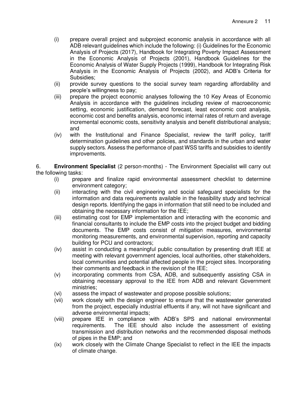- (i) prepare overall project and subproject economic analysis in accordance with all ADB relevant guidelines which include the following: (i) Guidelines for the Economic Analysis of Projects (2017), Handbook for Integrating Poverty Impact Assessment in the Economic Analysis of Projects (2001), Handbook Guidelines for the Economic Analysis of Water Supply Projects (1999), Handbook for Integrating Risk Analysis in the Economic Analysis of Projects (2002), and ADB's Criteria for Subsidies;
- (ii) provide survey questions to the social survey team regarding affordability and people's willingness to pay;
- (iii) prepare the project economic analyses following the 10 Key Areas of Economic Analysis in accordance with the guidelines including review of macroeconomic setting, economic justification, demand forecast, least economic cost analysis, economic cost and benefits analysis, economic internal rates of return and average incremental economic costs, sensitivity analysis and benefit distributional analysis; and
- (iv) with the Institutional and Finance Specialist, review the tariff policy, tariff determination guidelines and other policies, and standards in the urban and water supply sectors. Assess the performance of past WSS tariffs and subsidies to identify improvements.

6. **Environment Specialist** (2 person-months) - The Environment Specialist will carry out the following tasks:

- (i) prepare and finalize rapid environmental assessment checklist to determine environment category;
- (ii) interacting with the civil engineering and social safeguard specialists for the information and data requirements available in the feasibility study and technical design reports. Identifying the gaps in information that still need to be included and obtaining the necessary information for the IEE;
- (iii) estimating cost for EMP implementation and interacting with the economic and financial consultants to include the EMP costs into the project budget and bidding documents. The EMP costs consist of mitigation measures, environmental monitoring measurements, and environmental supervision, reporting and capacity building for PCU and contractors;
- (iv) assist in conducting a meaningful public consultation by presenting draft IEE at meeting with relevant government agencies, local authorities, other stakeholders, local communities and potential affected people in the project sites. Incorporating their comments and feedback in the revision of the IEE;
- (v) incorporating comments from CSA, ADB, and subsequently assisting CSA in obtaining necessary approval to the IEE from ADB and relevant Government ministries;
- (vi) assess the impact of wastewater and propose possible solutions;
- (vii) work closely with the design engineer to ensure that the wastewater generated from the project, especially industrial effluents if any, will not have significant and adverse environmental impacts;
- (viii) prepare IEE in compliance with ADB's SPS and national environmental requirements. The IEE should also include the assessment of existing transmission and distribution networks and the recommended disposal methods of pipes in the EMP; and
- (ix) work closely with the Climate Change Specialist to reflect in the IEE the impacts of climate change.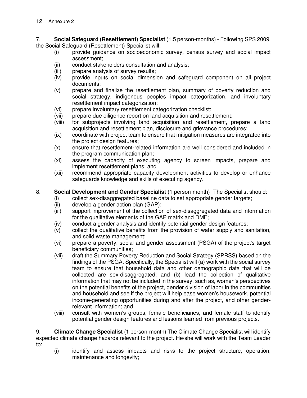7. **Social Safeguard (Resettlement) Specialist** (1.5 person-months) - Following SPS 2009, the Social Safeguard (Resettlement) Specialist will:

- (i) provide guidance on socioeconomic survey, census survey and social impact assessment;
- (ii) conduct stakeholders consultation and analysis;
- (iii) prepare analysis of survey results;
- (iv) provide inputs on social dimension and safeguard component on all project documents;
- (v) prepare and finalize the resettlement plan, summary of poverty reduction and social strategy, indigenous peoples impact categorization, and involuntary resettlement impact categorization;
- (vi) prepare involuntary resettlement categorization checklist;
- (vii) prepare due diligence report on land acquisition and resettlement;
- (viii) for subprojects involving land acquisition and resettlement, prepare a land acquisition and resettlement plan, disclosure and grievance procedures;
- (ix) coordinate with project team to ensure that mitigation measures are integrated into the project design features;
- (x) ensure that resettlement-related information are well considered and included in the program communication plan;
- (xi) assess the capacity of executing agency to screen impacts, prepare and implement resettlement plans; and
- (xii) recommend appropriate capacity development activities to develop or enhance safeguards knowledge and skills of executing agency.

#### 8. **Social Development and Gender Specialist** (1 person-month)- The Specialist should:

- (i) collect sex-disaggregated baseline data to set appropriate gender targets;
- (ii) develop a gender action plan (GAP);
- (iii) support improvement of the collection of sex-disaggregated data and information for the qualitative elements of the GAP matrix and DMF;
- (iv) conduct a gender analysis and identify potential gender design features;
- (v) collect the qualitative benefits from the provision of water supply and sanitation, and solid waste management;
- (vi) prepare a poverty, social and gender assessment (PSGA) of the project's target beneficiary communities;
- (vii) draft the Summary Poverty Reduction and Social Strategy (SPRSS) based on the findings of the PSGA. Specifically, the Specialist will (a) work with the social survey team to ensure that household data and other demographic data that will be collected are sex-disaggregated; and (b) lead the collection of qualitative information that may not be included in the survey, such as, women's perspectives on the potential benefits of the project, gender division of labor in the communities and household and see if the project will help ease women's housework, potential income-generating opportunities during and after the project, and other genderrelevant information; and
- (viii) consult with women's groups, female beneficiaries, and female staff to identify potential gender design features and lessons learned from previous projects.

9. **Climate Change Specialist** (1 person-month) The Climate Change Specialist will identify expected climate change hazards relevant to the project. He/she will work with the Team Leader to:

(i) identify and assess impacts and risks to the project structure, operation, maintenance and longevity;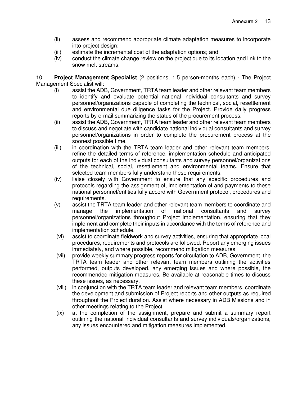- (ii) assess and recommend appropriate climate adaptation measures to incorporate into project design;
- (iii) estimate the incremental cost of the adaptation options; and
- (iv) conduct the climate change review on the project due to its location and link to the snow melt streams.

10. **Project Management Specialist** (2 positions, 1.5 person-months each) - The Project Management Specialist will:

- (i) assist the ADB, Government, TRTA team leader and other relevant team members to identify and evaluate potential national individual consultants and survey personnel/organizations capable of completing the technical, social, resettlement and environmental due diligence tasks for the Project. Provide daily progress reports by e-mail summarizing the status of the procurement process.
- (ii) assist the ADB, Government, TRTA team leader and other relevant team members to discuss and negotiate with candidate national individual consultants and survey personnel/organizations in order to complete the procurement process at the soonest possible time.
- (iii) in coordination with the TRTA team leader and other relevant team members, refine the detailed terms of reference, implementation schedule and anticipated outputs for each of the individual consultants and survey personnel/organizations of the technical, social, resettlement and environmental teams. Ensure that selected team members fully understand these requirements.
- (iv) liaise closely with Government to ensure that any specific procedures and protocols regarding the assignment of, implementation of and payments to these national personnel/entities fully accord with Government protocol, procedures and requirements.
- (v) assist the TRTA team leader and other relevant team members to coordinate and manage the implementation of national consultants and survey personnel/organizations throughout Project implementation, ensuring that they implement and complete their inputs in accordance with the terms of reference and implementation schedule.
- (vi) assist to coordinate fieldwork and survey activities, ensuring that appropriate local procedures, requirements and protocols are followed. Report any emerging issues immediately, and where possible, recommend mitigation measures.
- (vii) provide weekly summary progress reports for circulation to ADB, Government, the TRTA team leader and other relevant team members outlining the activities performed, outputs developed, any emerging issues and where possible, the recommended mitigation measures. Be available at reasonable times to discuss these issues, as necessary.
- (viii) in conjunction with the TRTA team leader and relevant team members, coordinate the development and submission of Project reports and other outputs as required throughout the Project duration. Assist where necessary in ADB Missions and in other meetings relating to the Project.
- (ix) at the completion of the assignment, prepare and submit a summary report outlining the national individual consultants and survey individuals/organizations, any issues encountered and mitigation measures implemented.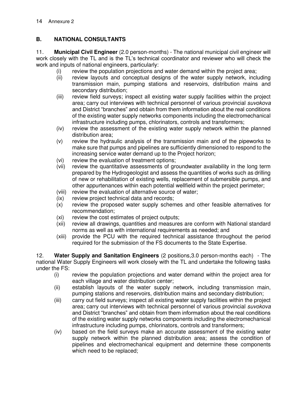### **B. NATIONAL CONSULTANTS**

11. **Municipal Civil Engineer** (2.0 person-months) - The national municipal civil engineer will work closely with the TL and is the TL's technical coordinator and reviewer who will check the work and inputs of national engineers, particularly:

- (i) review the population projections and water demand within the project area;
- (ii) review layouts and conceptual designs of the water supply network, including transmission main, pumping stations and reservoirs, distribution mains and secondary distribution;
- (iii) review field surveys; inspect all existing water supply facilities within the project area; carry out interviews with technical personnel of various provincial suvokova and District "branches" and obtain from them information about the real conditions of the existing water supply networks components including the electromechanical infrastructure including pumps, chlorinators, controls and transformers;
- (iv) review the assessment of the existing water supply network within the planned distribution area;
- (v) review the hydraulic analysis of the transmission main and of the pipeworks to make sure that pumps and pipelines are sufficiently dimensioned to respond to the increasing service water demand up to the Project horizon;
- (vi) review the evaluation of treatment options;
- (vii) review the quantitative assessments of groundwater availability in the long term prepared by the Hydrogeologist and assess the quantities of works such as drilling of new or rehabilitation of existing wells, replacement of submersible pumps, and other appurtenances within each potential wellfield within the project perimeter;
- (viii) review the evaluation of alternative source of water;
- (ix) review project technical data and records;
- (x) review the proposed water supply schemes and other feasible alternatives for recommendation;
- (xi) review the cost estimates of project outputs;
- (xii) review all drawings, quantities and measures are conform with National standard norms as well as with international requirements as needed; and
- (xiii) provide the PCU with the required technical assistance throughout the period required for the submission of the FS documents to the State Expertise.

12. **Water Supply and Sanitation Engineers** (2 positions,3.0 person-months each) - The national Water Supply Engineers will work closely with the TL and undertake the following tasks under the FS:

- (i) review the population projections and water demand within the project area for each village and water distribution center;
- (ii) establish layouts of the water supply network, including transmission main, pumping stations and reservoirs, distribution mains and secondary distribution;
- (iii) carry out field surveys; inspect all existing water supply facilities within the project area; carry out interviews with technical personnel of various provincial suvokova and District "branches" and obtain from them information about the real conditions of the existing water supply networks components including the electromechanical infrastructure including pumps, chlorinators, controls and transformers;
- (iv) based on the field surveys make an accurate assessment of the existing water supply network within the planned distribution area; assess the condition of pipelines and electromechanical equipment and determine these components which need to be replaced;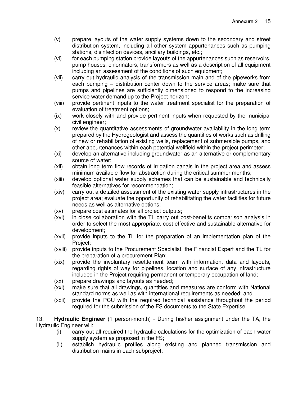- (v) prepare layouts of the water supply systems down to the secondary and street distribution system, including all other system appurtenances such as pumping stations, disinfection devices, ancillary buildings, etc.;
- (vi) for each pumping station provide layouts of the appurtenances such as reservoirs, pump houses, chlorinators, transformers as well as a description of all equipment including an assessment of the conditions of such equipment;
- (vii) carry out hydraulic analysis of the transmission main and of the pipeworks from each pumping – distribution center down to the service areas; make sure that pumps and pipelines are sufficiently dimensioned to respond to the increasing service water demand up to the Project horizon;
- (viii) provide pertinent inputs to the water treatment specialist for the preparation of evaluation of treatment options;
- (ix) work closely with and provide pertinent inputs when requested by the municipal civil engineer;
- (x) review the quantitative assessments of groundwater availability in the long term prepared by the Hydrogeologist and assess the quantities of works such as drilling of new or rehabilitation of existing wells, replacement of submersible pumps, and other appurtenances within each potential wellfield within the project perimeter;
- (xi) develop an alternative including groundwater as an alternative or complementary source of water;
- (xii) obtain long term flow records of irrigation canals in the project area and assess minimum available flow for abstraction during the critical summer months;
- (xiii) develop optional water supply schemes that can be sustainable and technically feasible alternatives for recommendation;
- (xiv) carry out a detailed assessment of the existing water supply infrastructures in the project area; evaluate the opportunity of rehabilitating the water facilities for future needs as well as alternative options;
- (xv) prepare cost estimates for all project outputs;
- (xvi) in close collaboration with the TL carry out cost-benefits comparison analysis in order to select the most appropriate, cost effective and sustainable alternative for development;
- (xvii) provide inputs to the TL for the preparation of an implementation plan of the Project;
- (xviii) provide inputs to the Procurement Specialist, the Financial Expert and the TL for the preparation of a procurement Plan;
- (xix) provide the involuntary resettlement team with information, data and layouts, regarding rights of way for pipelines, location and surface of any infrastructure included in the Project requiring permanent or temporary occupation of land;
- (xx) prepare drawings and layouts as needed;
- (xxi) make sure that all drawings, quantities and measures are conform with National standard norms as well as with international requirements as needed; and
- (xxii) provide the PCU with the required technical assistance throughout the period required for the submission of the FS documents to the State Expertise.

13. **Hydraulic Engineer** (1 person-month) - During his/her assignment under the TA, the Hydraulic Engineer will:

- (i) carry out all required the hydraulic calculations for the optimization of each water supply system as proposed in the FS;
- (ii) establish hydraulic profiles along existing and planned transmission and distribution mains in each subproject;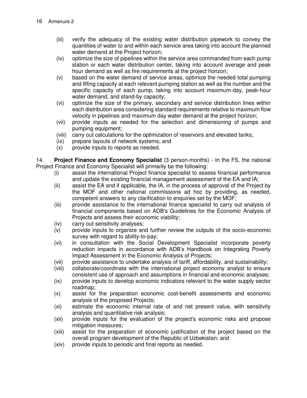- (iii) verify the adequacy of the existing water distribution pipework to convey the quantities of water to and within each service area taking into account the planned water demand at the Project horizon;
- (iv) optimize the size of pipelines within the service area commanded from each pump station or each water distribution center, taking into account average and peak hour demand as well as fire requirements at the project horizon;
- (v) based on the water demand of service areas, optimize the needed total pumping and lifting capacity at each relevant pumping station as well as the number and the specific capacity of each pump, taking into account maximum-day, peak-hour water demand, and stand-by capacity;
- (vi) optimize the size of the primary, secondary and service distribution lines within each distribution area considering standard requirements relative to maximum flow velocity in pipelines and maximum day water demand at the project horizon;
- (vii) provide inputs as needed for the selection and dimensioning of pumps and pumping equipment;
- (viii) carry out calculations for the optimization of reservoirs and elevated tanks;
- (ix) prepare layouts of network systems; and
- (x) provide inputs to reports as needed.

14. **Project Finance and Economy Specialist** (3 person-months) - In the FS, the national Project Finance and Economy Specialist will primarily be the following:

- (i) assist the international Project finance specialist to assess financial performance and update the existing financial management assessment of the EA and IA;
- (ii) assist the EA and if applicable, the IA, in the process of approval of the Project by the MOF and other national commissions ad hoc by providing, as needed, competent answers to any clarification to enquiries set by the MOF;
- (iii) provide assistance to the international finance specialist to carry out analysis of financial components based on ADB's Guidelines for the Economic Analysis of Projects and assess their economic viability;
- (iv) carry out sensitivity analyses;
- (v) provide inputs to organize and further review the outputs of the socio-economic survey with regard to ability-to-pay;
- (vi) in consultation with the Social Development Specialist incorporate poverty reduction impacts in accordance with ADB's Handbook on Integrating Poverty Impact Assessment in the Economic Analysis of Projects;
- (vii) provide assistance to undertake analysis of tariff, affordability, and sustainability;
- (viii) collaborate/coordinate with the international project economy analyst to ensure consistent use of approach and assumptions in financial and economic analyses;
- (ix) provide inputs to develop economic indicators relevant to the water supply sector roadmap;
- (x) assist for the preparation economic cost-benefit assessments and economic analysis of the proposed Projects;
- (xi) estimate the economic internal rate of and net present value, with sensitivity analysis and quantitative risk analysis;
- (xii) provide inputs for the evaluation of the project's economic risks and propose mitigation measures;
- (xiii) assist for the preparation of economic justification of the project based on the overall program development of the Republic of Uzbekistan; and
- (xiv) provide inputs to periodic and final reports as needed.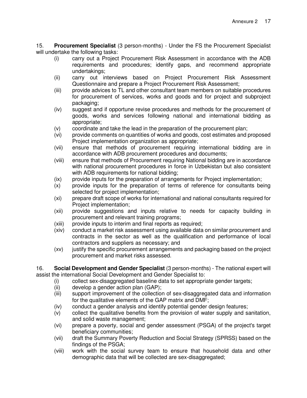15. **Procurement Specialist** (3 person-months) - Under the FS the Procurement Specialist will undertake the following tasks:

- (i) carry out a Project Procurement Risk Assessment in accordance with the ADB requirements and procedures; identify gaps, and recommend appropriate undertakings;
- (ii) carry out interviews based on Project Procurement Risk Assessment Questionnaire and prepare a Project Procurement Risk Assessment;
- (iii) provide advices to TL and other consultant team members on suitable procedures for procurement of services, works and goods and for project and subproject packaging;
- (iv) suggest and if opportune revise procedures and methods for the procurement of goods, works and services following national and international bidding as appropriate;
- (v) coordinate and take the lead in the preparation of the procurement plan;
- (vi) provide comments on quantities of works and goods, cost estimates and proposed Project implementation organization as appropriate;
- (vii) ensure that methods of procurement requiring international bidding are in accordance with ADB procurement procedures and documents;
- (viii) ensure that methods of Procurement requiring National bidding are in accordance with national procurement procedures in force in Uzbekistan but also consistent with ADB requirements for national bidding;
- (ix) provide inputs for the preparation of arrangements for Project implementation;
- (x) provide inputs for the preparation of terms of reference for consultants being selected for project implementation;
- (xi) prepare draft scope of works for international and national consultants required for Project implementation;
- (xii) provide suggestions and inputs relative to needs for capacity building in procurement and relevant training programs;
- (xiii) provide inputs to interim and final reports as required;
- (xiv) conduct a market risk assessment using available data on similar procurement and contracts in the sector as well as the qualification and performance of local contractors and suppliers as necessary; and
- (xv) justify the specific procurement arrangements and packaging based on the project procurement and market risks assessed.

16. **Social Development and Gender Specialist** (3 person-months) - The national expert will assist the international Social Development and Gender Specialist to:

- (i) collect sex-disaggregated baseline data to set appropriate gender targets;
- (ii) develop a gender action plan (GAP);
- (iii) support improvement of the collection of sex-disaggregated data and information for the qualitative elements of the GAP matrix and DMF;
- (iv) conduct a gender analysis and identify potential gender design features;
- (v) collect the qualitative benefits from the provision of water supply and sanitation, and solid waste management;
- (vi) prepare a poverty, social and gender assessment (PSGA) of the project's target beneficiary communities;
- (vii) draft the Summary Poverty Reduction and Social Strategy (SPRSS) based on the findings of the PSGA;
- (viii) work with the social survey team to ensure that household data and other demographic data that will be collected are sex-disaggregated;